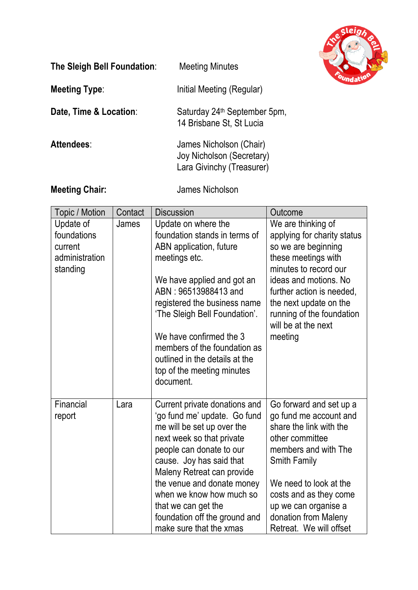

| The Sleigh Bell Foundation: | <b>Meeting Minutes</b>                                                            |
|-----------------------------|-----------------------------------------------------------------------------------|
| <b>Meeting Type:</b>        | Initial Meeting (Regular)                                                         |
| Date, Time & Location:      | Saturday 24 <sup>th</sup> September 5pm,<br>14 Brisbane St, St Lucia              |
| Attendees:                  | James Nicholson (Chair)<br>Joy Nicholson (Secretary)<br>Lara Givinchy (Treasurer) |

**Meeting Chair:** James Nicholson

| Topic / Motion                                                    | Contact | <b>Discussion</b>                                                                                                                                                                                                                                                                                                                                               | Outcome                                                                                                                                                                                                                                                                       |
|-------------------------------------------------------------------|---------|-----------------------------------------------------------------------------------------------------------------------------------------------------------------------------------------------------------------------------------------------------------------------------------------------------------------------------------------------------------------|-------------------------------------------------------------------------------------------------------------------------------------------------------------------------------------------------------------------------------------------------------------------------------|
| Update of<br>foundations<br>current<br>administration<br>standing | James   | Update on where the<br>foundation stands in terms of<br>ABN application, future<br>meetings etc.<br>We have applied and got an<br>ABN: 96513988413 and<br>registered the business name<br>'The Sleigh Bell Foundation'.<br>We have confirmed the 3<br>members of the foundation as<br>outlined in the details at the<br>top of the meeting minutes<br>document. | We are thinking of<br>applying for charity status<br>so we are beginning<br>these meetings with<br>minutes to record our<br>ideas and motions. No<br>further action is needed,<br>the next update on the<br>running of the foundation<br>will be at the next<br>meeting       |
| Financial<br>report                                               | Lara    | Current private donations and<br>'go fund me' update. Go fund<br>me will be set up over the<br>next week so that private<br>people can donate to our<br>cause. Joy has said that<br>Maleny Retreat can provide<br>the venue and donate money<br>when we know how much so<br>that we can get the<br>foundation off the ground and<br>make sure that the xmas     | Go forward and set up a<br>go fund me account and<br>share the link with the<br>other committee<br>members and with The<br><b>Smith Family</b><br>We need to look at the<br>costs and as they come<br>up we can organise a<br>donation from Maleny<br>Retreat. We will offset |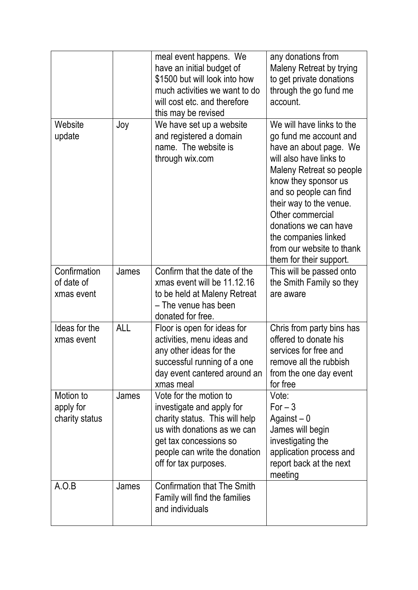|                                          |            | meal event happens. We<br>have an initial budget of<br>\$1500 but will look into how<br>much activities we want to do<br>will cost etc. and therefore<br>this may be revised                             | any donations from<br>Maleny Retreat by trying<br>to get private donations<br>through the go fund me<br>account.                                                                                                                                                                                                                               |
|------------------------------------------|------------|----------------------------------------------------------------------------------------------------------------------------------------------------------------------------------------------------------|------------------------------------------------------------------------------------------------------------------------------------------------------------------------------------------------------------------------------------------------------------------------------------------------------------------------------------------------|
| Website<br>update                        | Joy        | We have set up a website<br>and registered a domain<br>name. The website is<br>through wix.com                                                                                                           | We will have links to the<br>go fund me account and<br>have an about page. We<br>will also have links to<br>Maleny Retreat so people<br>know they sponsor us<br>and so people can find<br>their way to the venue.<br>Other commercial<br>donations we can have<br>the companies linked<br>from our website to thank<br>them for their support. |
| Confirmation<br>of date of<br>xmas event | James      | Confirm that the date of the<br>xmas event will be 11.12.16<br>to be held at Maleny Retreat<br>- The venue has been<br>donated for free.                                                                 | This will be passed onto<br>the Smith Family so they<br>are aware                                                                                                                                                                                                                                                                              |
| Ideas for the<br>xmas event              | <b>ALL</b> | Floor is open for ideas for<br>activities, menu ideas and<br>any other ideas for the<br>successful running of a one<br>day event cantered around an<br>xmas meal                                         | Chris from party bins has<br>offered to donate his<br>services for free and<br>remove all the rubbish<br>from the one day event<br>for free                                                                                                                                                                                                    |
| Motion to<br>apply for<br>charity status | James      | Vote for the motion to<br>investigate and apply for<br>charity status. This will help<br>us with donations as we can<br>get tax concessions so<br>people can write the donation<br>off for tax purposes. | Vote:<br>$For - 3$<br>Against $-0$<br>James will begin<br>investigating the<br>application process and<br>report back at the next<br>meeting                                                                                                                                                                                                   |
| A.O.B                                    | James      | <b>Confirmation that The Smith</b><br>Family will find the families<br>and individuals                                                                                                                   |                                                                                                                                                                                                                                                                                                                                                |